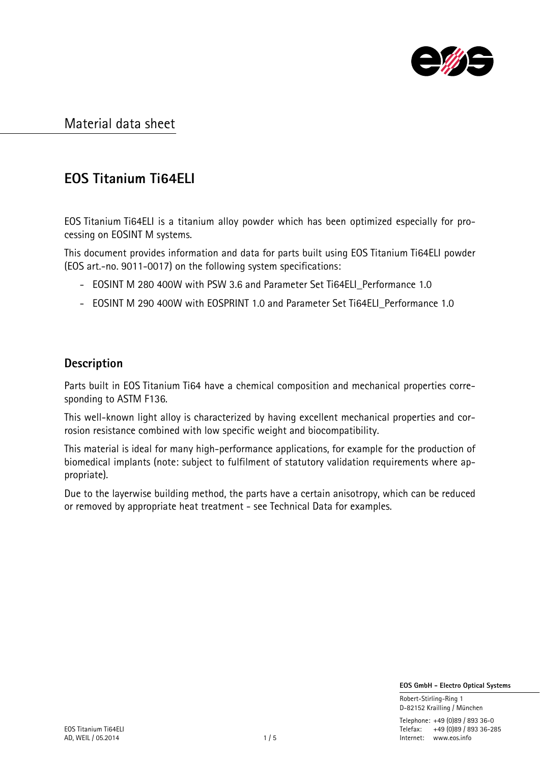

# **EOS Titanium Ti64ELI**

EOS Titanium Ti64ELI is a titanium alloy powder which has been optimized especially for processing on EOSINT M systems.

This document provides information and data for parts built using EOS Titanium Ti64ELI powder (EOS art.-no. 9011-0017) on the following system specifications:

- EOSINT M 280 400W with PSW 3.6 and Parameter Set Ti64ELI Performance 1.0
- EOSINT M 290 400W with EOSPRINT 1.0 and Parameter Set Ti64ELI\_Performance 1.0

### **Description**

Parts built in EOS Titanium Ti64 have a chemical composition and mechanical properties corresponding to ASTM F136.

This well-known light alloy is characterized by having excellent mechanical properties and corrosion resistance combined with low specific weight and biocompatibility.

This material is ideal for many high-performance applications, for example for the production of biomedical implants (note: subject to fulfilment of statutory validation requirements where appropriate).

Due to the layerwise building method, the parts have a certain anisotropy, which can be reduced or removed by appropriate heat treatment - see Technical Data for examples.

 **EOS GmbH - Electro Optical Systems**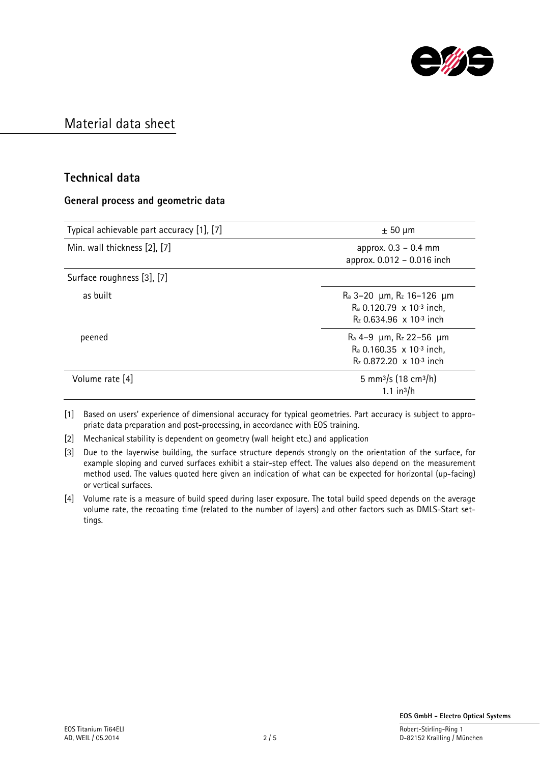

#### **Technical data**

#### **General process and geometric data**

| Typical achievable part accuracy [1], [7] | $\pm$ 50 µm                                                                                                                                                |
|-------------------------------------------|------------------------------------------------------------------------------------------------------------------------------------------------------------|
| Min. wall thickness [2], [7]              | approx. $0.3 - 0.4$ mm<br>approx. 0.012 - 0.016 inch                                                                                                       |
| Surface roughness [3], [7]                |                                                                                                                                                            |
| as built                                  | $R_a$ 3-20 $\mu$ m, $R_z$ 16-126 $\mu$ m<br>$R_a$ 0.120.79 $\times$ 10 <sup>-3</sup> inch,<br>$R_z$ 0.634.96 $\times$ 10 <sup>-3</sup> inch                |
| peened                                    | $\rm{Ra}$ 4–9 $\,\rm{\mu m}$ , $\rm{R}_z$ 22–56 $\,\rm{\mu m}$<br>$R_a$ 0.160.35 x 10 <sup>-3</sup> inch,<br>$R_7$ 0.872.20 $\times$ 10 <sup>-3</sup> inch |
| Volume rate [4]                           | 5 mm <sup>3</sup> /s (18 cm <sup>3</sup> /h)<br>$1.1 \text{ in}^3/h$                                                                                       |

[1] Based on users' experience of dimensional accuracy for typical geometries. Part accuracy is subject to appropriate data preparation and post-processing, in accordance with EOS training.

[2] Mechanical stability is dependent on geometry (wall height etc.) and application

[3] Due to the layerwise building, the surface structure depends strongly on the orientation of the surface, for example sloping and curved surfaces exhibit a stair-step effect. The values also depend on the measurement method used. The values quoted here given an indication of what can be expected for horizontal (up-facing) or vertical surfaces.

[4] Volume rate is a measure of build speed during laser exposure. The total build speed depends on the average volume rate, the recoating time (related to the number of layers) and other factors such as DMLS-Start settings.

D-82152 Krailling / München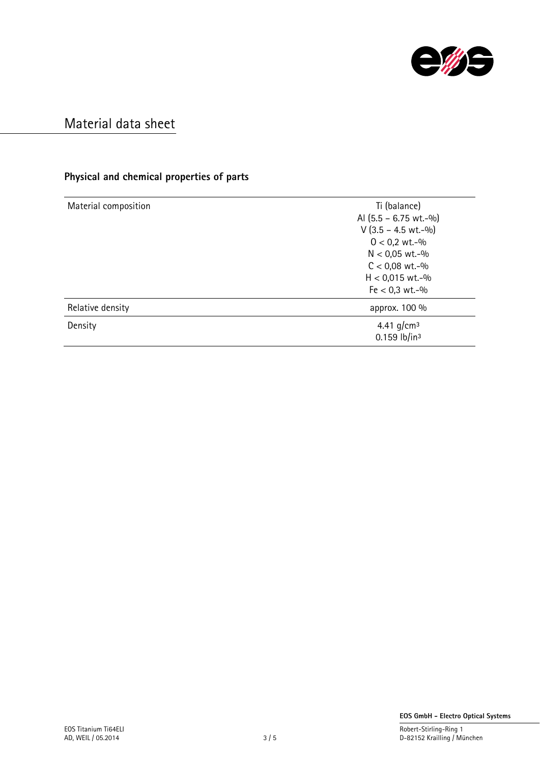

### **Physical and chemical properties of parts**

| Material composition | Ti (balance)                               |
|----------------------|--------------------------------------------|
|                      | Al $(5.5 - 6.75 \text{ wt.} -\frac{0}{0})$ |
|                      | $V$ (3.5 – 4.5 wt.-%)                      |
|                      | $0 < 0.2$ wt.-%                            |
|                      | $N < 0.05$ wt.-%                           |
|                      | $C < 0.08$ wt.-%                           |
|                      | $H < 0.015$ wt.-%                          |
|                      | $Fe < 0.3$ wt.-%                           |
| Relative density     | approx. 100 %                              |
| Density              | 4.41 g/cm <sup>3</sup>                     |
|                      | $0.159$ lb/in <sup>3</sup>                 |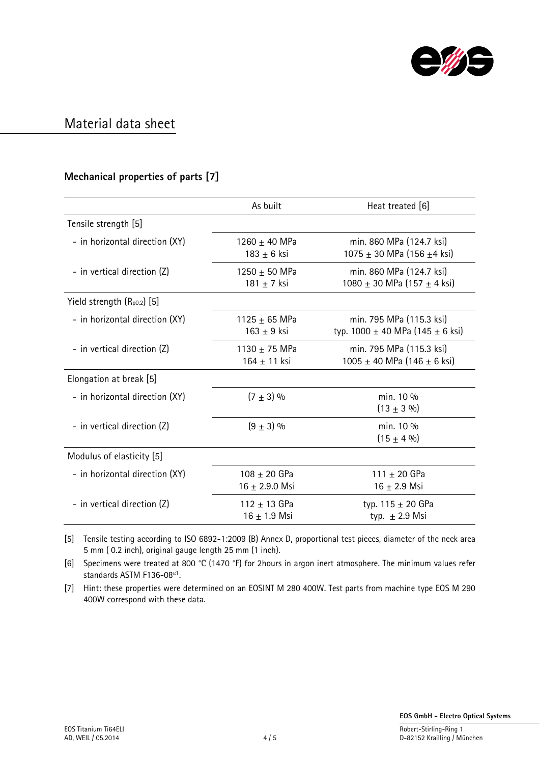

### **Mechanical properties of parts [7]**

|                                 | As built                             | Heat treated [6]                                                     |
|---------------------------------|--------------------------------------|----------------------------------------------------------------------|
| Tensile strength [5]            |                                      |                                                                      |
| - in horizontal direction (XY)  | 1260 $\pm$ 40 MPa<br>$183 + 6$ ksi   | min. 860 MPa (124.7 ksi)<br>1075 $\pm$ 30 MPa (156 $\pm$ 4 ksi)      |
| - in vertical direction (Z)     | 1250 $\pm$ 50 MPa<br>181 $\pm$ 7 ksi | min. 860 MPa (124.7 ksi)<br>1080 ± 30 MPa (157 ± 4 ksi)              |
| Yield strength $(R_{p0.2})$ [5] |                                      |                                                                      |
| - in horizontal direction (XY)  | 1125 $\pm$ 65 MPa<br>163 $\pm$ 9 ksi | min. 795 MPa (115.3 ksi)<br>typ. 1000 $\pm$ 40 MPa (145 $\pm$ 6 ksi) |
| - in vertical direction (Z)     | 1130 $\pm$ 75 MPa<br>164 ± 11 ksi    | min. 795 MPa (115.3 ksi)<br>1005 ± 40 MPa (146 ± 6 ksi)              |
| Elongation at break [5]         |                                      |                                                                      |
| - in horizontal direction (XY)  | $(7 \pm 3)$ %                        | min. 10 %<br>$(13 \pm 3 \%)$                                         |
| - in vertical direction (Z)     | $(9 \pm 3)$ %                        | min. 10 %<br>$(15 \pm 4 \%)$                                         |
| Modulus of elasticity [5]       |                                      |                                                                      |
| - in horizontal direction (XY)  | 108 $\pm$ 20 GPa<br>$16 + 2.9.0$ Msi | 111 $\pm$ 20 GPa<br>$16 + 2.9$ Msi                                   |
| - in vertical direction (Z)     | 112 $\pm$ 13 GPa<br>$16 + 1.9$ Msi   | typ. $115 \pm 20$ GPa<br>typ. $\pm$ 2.9 Msi                          |

[5] Tensile testing according to ISO 6892-1:2009 (B) Annex D, proportional test pieces, diameter of the neck area 5 mm ( 0.2 inch), original gauge length 25 mm (1 inch).

[6] Specimens were treated at 800 °C (1470 °F) for 2hours in argon inert atmosphere. The minimum values refer standards ASTM F136-08<sup>81</sup>.

[7] Hint: these properties were determined on an EOSINT M 280 400W. Test parts from machine type EOS M 290 400W correspond with these data.

D-82152 Krailling / München